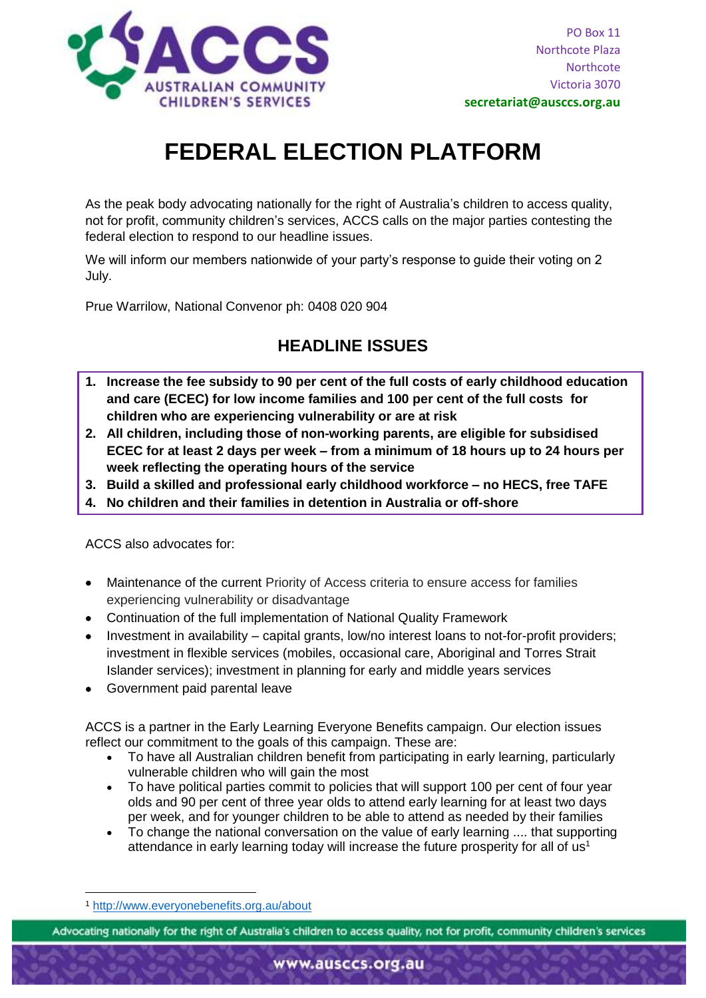

# **FEDERAL ELECTION PLATFORM**

As the peak body advocating nationally for the right of Australia's children to access quality, not for profit, community children's services, ACCS calls on the major parties contesting the federal election to respond to our headline issues.

We will inform our members nationwide of your party's response to guide their voting on 2 July.

Prue Warrilow, National Convenor ph: 0408 020 904

### **HEADLINE ISSUES**

- **1. Increase the fee subsidy to 90 per cent of the full costs of early childhood education and care (ECEC) for low income families and 100 per cent of the full costs for children who are experiencing vulnerability or are at risk**
- **2. All children, including those of non-working parents, are eligible for subsidised ECEC for at least 2 days per week – from a minimum of 18 hours up to 24 hours per week reflecting the operating hours of the service**
- **3. Build a skilled and professional early childhood workforce – no HECS, free TAFE**
- **4. No children and their families in detention in Australia or off-shore**

ACCS also advocates for:

- Maintenance of the current Priority of Access criteria to ensure access for families experiencing vulnerability or disadvantage
- Continuation of the full implementation of National Quality Framework
- Investment in availability capital grants, low/no interest loans to not-for-profit providers; investment in flexible services (mobiles, occasional care, Aboriginal and Torres Strait Islander services); investment in planning for early and middle years services
- Government paid parental leave

ACCS is a partner in the Early Learning Everyone Benefits campaign. Our election issues reflect our commitment to the goals of this campaign. These are:

- To have all Australian children benefit from participating in early learning, particularly vulnerable children who will gain the most
- To have political parties commit to policies that will support 100 per cent of four year olds and 90 per cent of three year olds to attend early learning for at least two days per week, and for younger children to be able to attend as needed by their families
- To change the national conversation on the value of early learning .... that supporting attendance in early learning today will increase the future prosperity for all of  $us<sup>1</sup>$

Advocating nationally for the right of Australia's children to access quality, not for profit, community children's services

**<sup>.</sup>** <sup>1</sup> <http://www.everyonebenefits.org.au/about>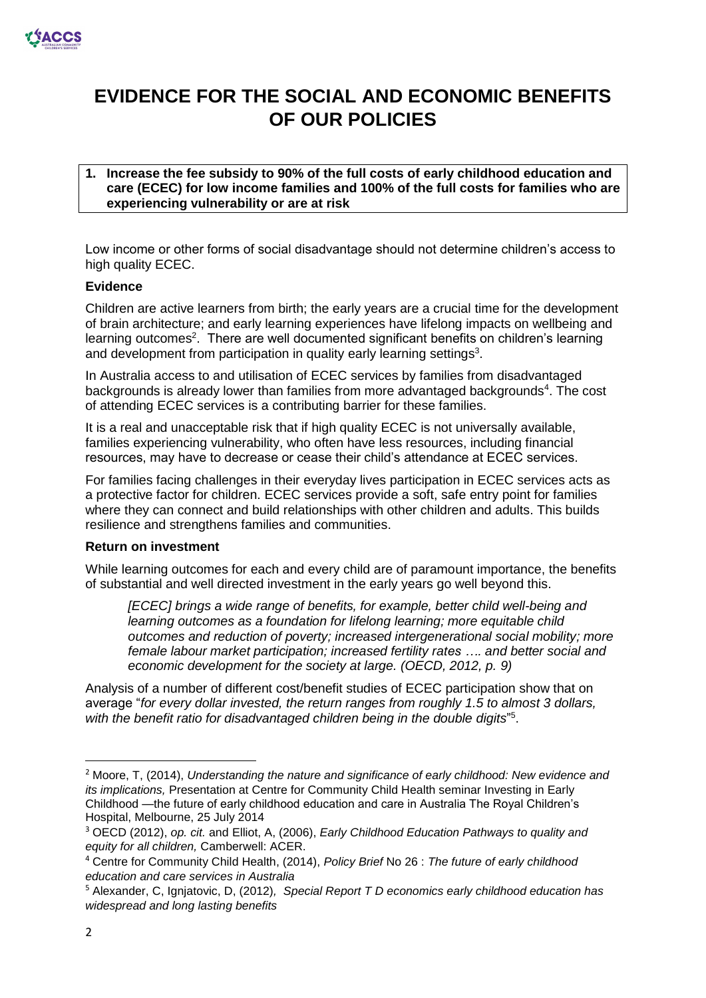

## **EVIDENCE FOR THE SOCIAL AND ECONOMIC BENEFITS OF OUR POLICIES**

#### **1. Increase the fee subsidy to 90% of the full costs of early childhood education and care (ECEC) for low income families and 100% of the full costs for families who are experiencing vulnerability or are at risk**

Low income or other forms of social disadvantage should not determine children's access to high quality ECEC.

#### **Evidence**

Children are active learners from birth; the early years are a crucial time for the development of brain architecture; and early learning experiences have lifelong impacts on wellbeing and learning outcomes<sup>2</sup>. There are well documented significant benefits on children's learning and development from participation in quality early learning settings<sup>3</sup>.

In Australia access to and utilisation of ECEC services by families from disadvantaged backgrounds is already lower than families from more advantaged backgrounds<sup>4</sup>. The cost of attending ECEC services is a contributing barrier for these families.

It is a real and unacceptable risk that if high quality ECEC is not universally available, families experiencing vulnerability, who often have less resources, including financial resources, may have to decrease or cease their child's attendance at ECEC services.

For families facing challenges in their everyday lives participation in ECEC services acts as a protective factor for children. ECEC services provide a soft, safe entry point for families where they can connect and build relationships with other children and adults. This builds resilience and strengthens families and communities.

#### **Return on investment**

While learning outcomes for each and every child are of paramount importance, the benefits of substantial and well directed investment in the early years go well beyond this.

*[ECEC] brings a wide range of benefits, for example, better child well-being and learning outcomes as a foundation for lifelong learning; more equitable child outcomes and reduction of poverty; increased intergenerational social mobility; more female labour market participation; increased fertility rates …. and better social and economic development for the society at large. (OECD, 2012, p. 9)*

Analysis of a number of different cost/benefit studies of ECEC participation show that on average "*for every dollar invested, the return ranges from roughly 1.5 to almost 3 dollars,*  with the benefit ratio for disadvantaged children being in the double digits"<sup>5</sup>.

**.** 

<sup>2</sup> Moore, T, (2014), *Understanding the nature and significance of early childhood: New evidence and its implications,* Presentation at Centre for Community Child Health seminar Investing in Early Childhood —the future of early childhood education and care in Australia The Royal Children's Hospital, Melbourne, 25 July 2014

<sup>3</sup> OECD (2012), *op. cit.* and Elliot, A, (2006), *Early Childhood Education Pathways to quality and equity for all children,* Camberwell: ACER.

<sup>4</sup> Centre for Community Child Health, (2014), *Policy Brief* No 26 : *The future of early childhood education and care services in Australia*

<sup>5</sup> Alexander, C, Ignjatovic, D, (2012)*, Special Report T D economics early childhood education has widespread and long lasting benefits*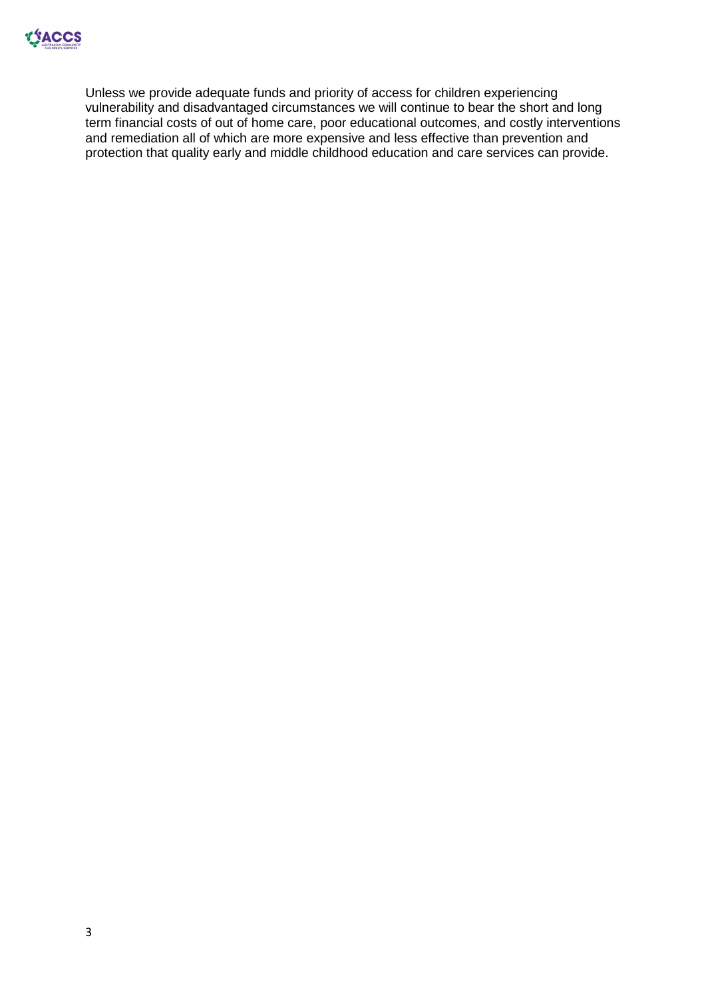

Unless we provide adequate funds and priority of access for children experiencing vulnerability and disadvantaged circumstances we will continue to bear the short and long term financial costs of out of home care, poor educational outcomes, and costly interventions and remediation all of which are more expensive and less effective than prevention and protection that quality early and middle childhood education and care services can provide.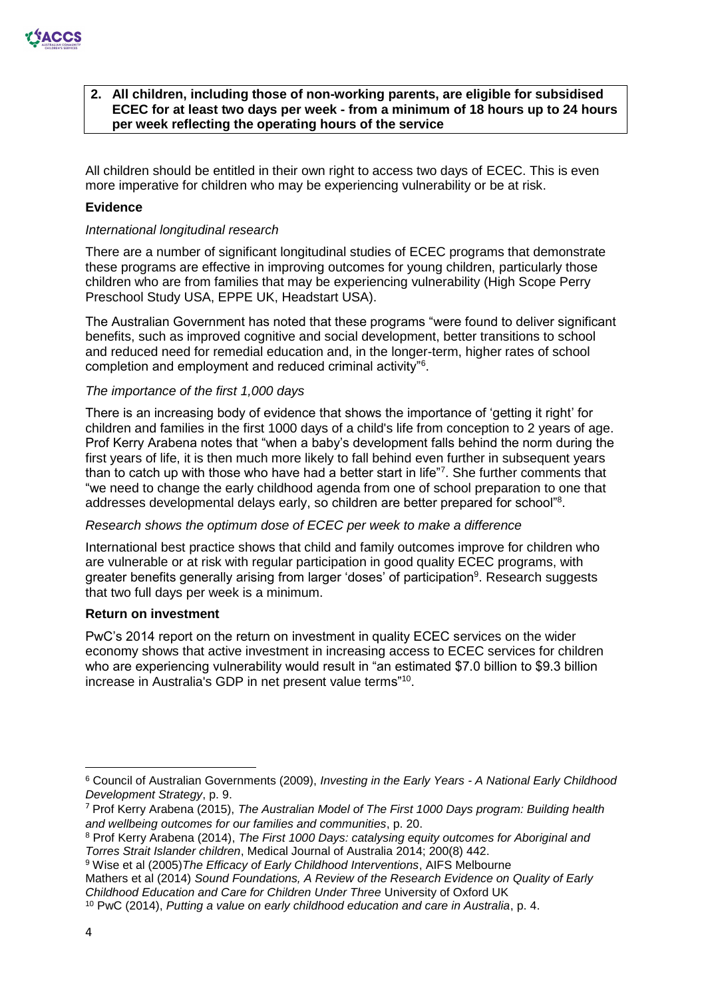

#### **2. All children, including those of non-working parents, are eligible for subsidised ECEC for at least two days per week - from a minimum of 18 hours up to 24 hours per week reflecting the operating hours of the service**

All children should be entitled in their own right to access two days of ECEC. This is even more imperative for children who may be experiencing vulnerability or be at risk.

#### **Evidence**

#### *International longitudinal research*

There are a number of significant longitudinal studies of ECEC programs that demonstrate these programs are effective in improving outcomes for young children, particularly those children who are from families that may be experiencing vulnerability (High Scope Perry Preschool Study USA, EPPE UK, Headstart USA).

The Australian Government has noted that these programs "were found to deliver significant benefits, such as improved cognitive and social development, better transitions to school and reduced need for remedial education and, in the longer-term, higher rates of school completion and employment and reduced criminal activity"<sup>6</sup> .

#### *The importance of the first 1,000 days*

There is an increasing body of evidence that shows the importance of 'getting it right' for children and families in the first 1000 days of a child's life from conception to 2 years of age. Prof Kerry Arabena notes that "when a baby's development falls behind the norm during the first years of life, it is then much more likely to fall behind even further in subsequent years than to catch up with those who have had a better start in life"7. She further comments that "we need to change the early childhood agenda from one of school preparation to one that addresses developmental delays early, so children are better prepared for school"<sup>8</sup>.

#### *Research shows the optimum dose of ECEC per week to make a difference*

International best practice shows that child and family outcomes improve for children who are vulnerable or at risk with regular participation in good quality ECEC programs, with greater benefits generally arising from larger 'doses' of participation<sup>9</sup>. Research suggests that two full days per week is a minimum.

#### **Return on investment**

PwC's 2014 report on the return on investment in quality ECEC services on the wider economy shows that active investment in increasing access to ECEC services for children who are experiencing vulnerability would result in "an estimated \$7.0 billion to \$9.3 billion increase in Australia's GDP in net present value terms"<sup>10</sup> .

**.** 

<sup>6</sup> Council of Australian Governments (2009), *Investing in the Early Years - A National Early Childhood Development Strategy*, p. 9.

<sup>7</sup> Prof Kerry Arabena (2015), *The Australian Model of The First 1000 Days program: Building health and wellbeing outcomes for our families and communities*, p. 20.

<sup>8</sup> Prof Kerry Arabena (2014), *The First 1000 Days: catalysing equity outcomes for Aboriginal and Torres Strait Islander children*, Medical Journal of Australia 2014; 200(8) 442.

<sup>9</sup> Wise et al (2005)*The Efficacy of Early Childhood Interventions*, AIFS Melbourne

Mathers et al (2014) *Sound Foundations, A Review of the Research Evidence on Quality of Early Childhood Education and Care for Children Under Three* University of Oxford UK

<sup>10</sup> PwC (2014), *Putting a value on early childhood education and care in Australia*, p. 4.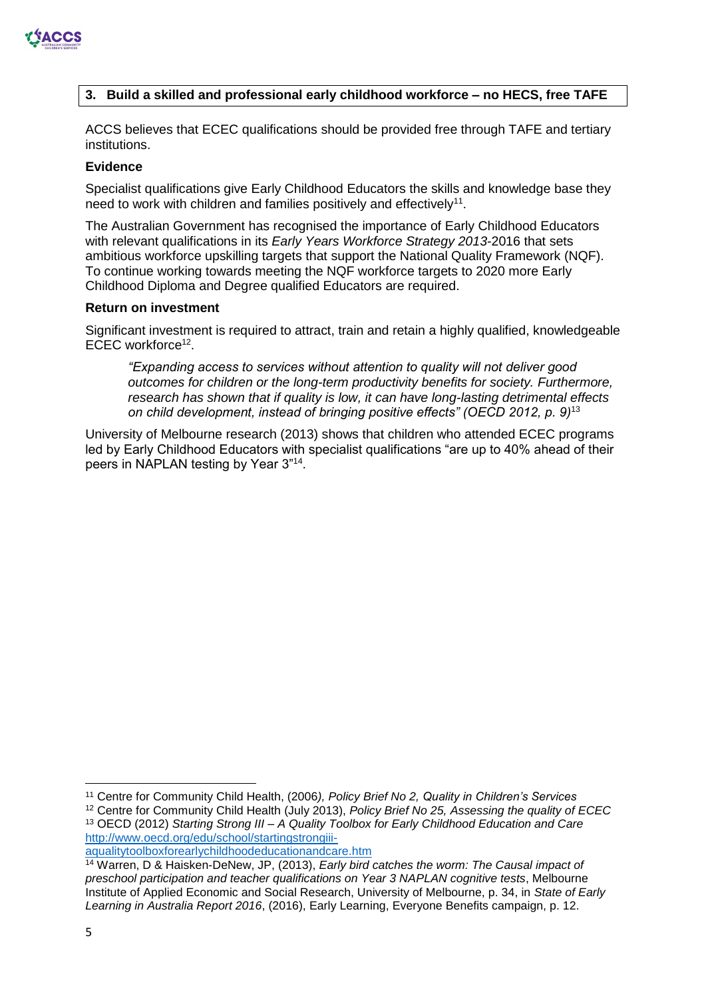

#### **3. Build a skilled and professional early childhood workforce – no HECS, free TAFE**

ACCS believes that ECEC qualifications should be provided free through TAFE and tertiary institutions.

#### **Evidence**

Specialist qualifications give Early Childhood Educators the skills and knowledge base they need to work with children and families positively and effectively<sup>11</sup>.

The Australian Government has recognised the importance of Early Childhood Educators with relevant qualifications in its *Early Years Workforce Strategy 2013-*2016 that sets ambitious workforce upskilling targets that support the National Quality Framework (NQF). To continue working towards meeting the NQF workforce targets to 2020 more Early Childhood Diploma and Degree qualified Educators are required.

#### **Return on investment**

Significant investment is required to attract, train and retain a highly qualified, knowledgeable ECEC workforce<sup>12</sup>.

*"Expanding access to services without attention to quality will not deliver good outcomes for children or the long-term productivity benefits for society. Furthermore, research has shown that if quality is low, it can have long-lasting detrimental effects on child development, instead of bringing positive effects" (OECD 2012, p. 9)*<sup>13</sup>

University of Melbourne research (2013) shows that children who attended ECEC programs led by Early Childhood Educators with specialist qualifications "are up to 40% ahead of their peers in NAPLAN testing by Year 3"<sup>14</sup>.

 $\overline{a}$ <sup>11</sup> Centre for Community Child Health, (2006*), Policy Brief No 2, Quality in Children's Services*

<sup>12</sup> Centre for Community Child Health (July 2013), *Policy Brief No 25, Assessing the quality of ECEC* <sup>13</sup> OECD (2012) *Starting Strong III – A Quality Toolbox for Early Childhood Education and Care*  [http://www.oecd.org/edu/school/startingstrongiii-](http://www.oecd.org/edu/school/startingstrongiii-aqualitytoolboxforearlychildhoodeducationandcare.htm)

[aqualitytoolboxforearlychildhoodeducationandcare.htm](http://www.oecd.org/edu/school/startingstrongiii-aqualitytoolboxforearlychildhoodeducationandcare.htm)

<sup>14</sup> Warren, D & Haisken-DeNew, JP, (2013), *Early bird catches the worm: The Causal impact of preschool participation and teacher qualifications on Year 3 NAPLAN cognitive tests*, Melbourne Institute of Applied Economic and Social Research, University of Melbourne, p. 34, in *State of Early Learning in Australia Report 2016*, (2016), Early Learning, Everyone Benefits campaign, p. 12.